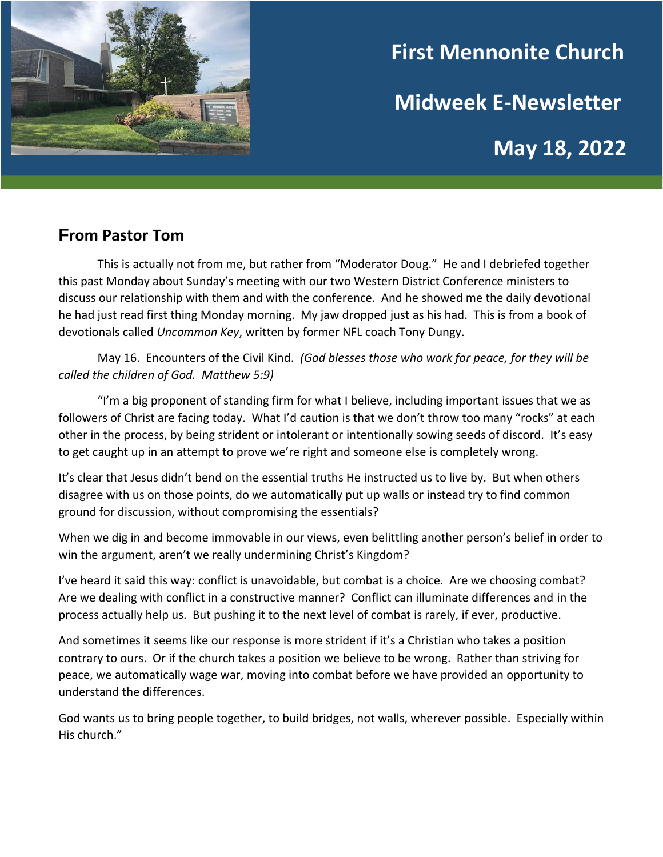

# **First Mennonite Church Midweek E-Newsletter**

**May 18, 2022**

# **From Pastor Tom**

This is actually not from me, but rather from "Moderator Doug." He and I debriefed together this past Monday about Sunday's meeting with our two Western District Conference ministers to discuss our relationship with them and with the conference. And he showed me the daily devotional he had just read first thing Monday morning. My jaw dropped just as his had. This is from a book of devotionals called *Uncommon Key*, written by former NFL coach Tony Dungy.

May 16. Encounters of the Civil Kind. *(God blesses those who work for peace, for they will be called the children of God. Matthew 5:9)*

"I'm a big proponent of standing firm for what I believe, including important issues that we as followers of Christ are facing today. What I'd caution is that we don't throw too many "rocks" at each other in the process, by being strident or intolerant or intentionally sowing seeds of discord. It's easy to get caught up in an attempt to prove we're right and someone else is completely wrong.

It's clear that Jesus didn't bend on the essential truths He instructed us to live by. But when others disagree with us on those points, do we automatically put up walls or instead try to find common ground for discussion, without compromising the essentials?

When we dig in and become immovable in our views, even belittling another person's belief in order to win the argument, aren't we really undermining Christ's Kingdom?

I've heard it said this way: conflict is unavoidable, but combat is a choice. Are we choosing combat? Are we dealing with conflict in a constructive manner? Conflict can illuminate differences and in the process actually help us. But pushing it to the next level of combat is rarely, if ever, productive.

And sometimes it seems like our response is more strident if it's a Christian who takes a position contrary to ours. Or if the church takes a position we believe to be wrong. Rather than striving for peace, we automatically wage war, moving into combat before we have provided an opportunity to understand the differences.

God wants us to bring people together, to build bridges, not walls, wherever possible. Especially within His church."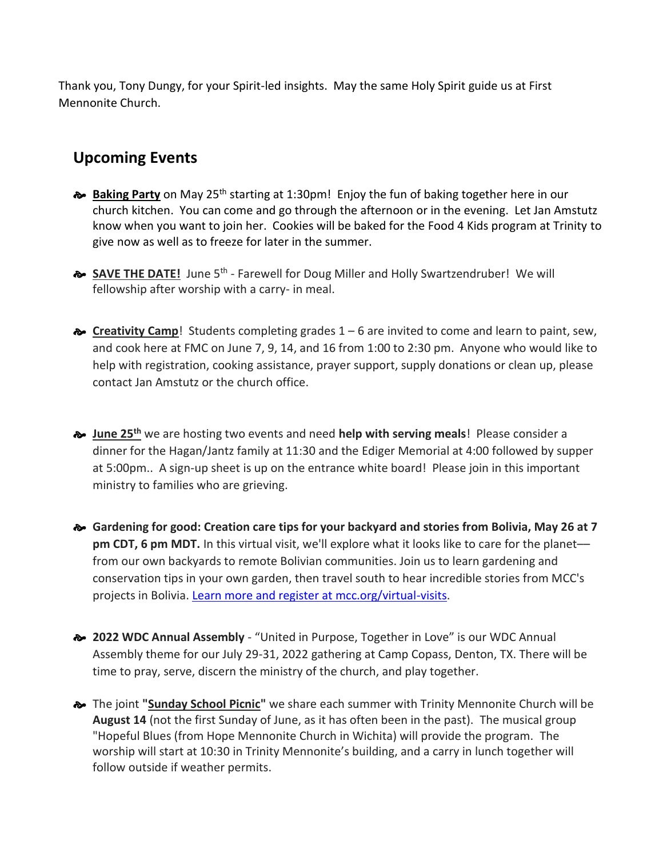Thank you, Tony Dungy, for your Spirit-led insights. May the same Holy Spirit guide us at First Mennonite Church.

#### **Upcoming Events**

- **Baking Party** on May 25<sup>th</sup> starting at 1:30pm! Enjoy the fun of baking together here in our church kitchen. You can come and go through the afternoon or in the evening. Let Jan Amstutz know when you want to join her. Cookies will be baked for the Food 4 Kids program at Trinity to give now as well as to freeze for later in the summer.
- **& SAVE THE DATE!** June 5<sup>th</sup> Farewell for Doug Miller and Holly Swartzendruber! We will fellowship after worship with a carry- in meal.
- **Example 1** Students completing grades  $1 6$  are invited to come and learn to paint, sew, and cook here at FMC on June 7, 9, 14, and 16 from 1:00 to 2:30 pm. Anyone who would like to help with registration, cooking assistance, prayer support, supply donations or clean up, please contact Jan Amstutz or the church office.
- **June 25th** we are hosting two events and need **help with serving meals**! Please consider a dinner for the Hagan/Jantz family at 11:30 and the Ediger Memorial at 4:00 followed by supper at 5:00pm.. A sign-up sheet is up on the entrance white board! Please join in this important ministry to families who are grieving.
- **Gardening for good: Creation care tips for your backyard and stories from Bolivia, May 26 at 7 pm CDT, 6 pm MDT.** In this virtual visit, we'll explore what it looks like to care for the planet–– from our own backyards to remote Bolivian communities. Join us to learn gardening and conservation tips in your own garden, then travel south to hear incredible stories from MCC's projects in Bolivia. [Learn more and register at mcc.org/virtual-visits.](https://mcc.org/mcc-virtual-visits)
- **2022 WDC Annual Assembly** "United in Purpose, Together in Love" is our WDC Annual Assembly theme for our July 29-31, 2022 gathering at Camp Copass, Denton, TX. There will be time to pray, serve, discern the ministry of the church, and play together.
- The joint **"Sunday School Picnic"** we share each summer with Trinity Mennonite Church will be **August 14** (not the first Sunday of June, as it has often been in the past). The musical group "Hopeful Blues (from Hope Mennonite Church in Wichita) will provide the program. The worship will start at 10:30 in Trinity Mennonite's building, and a carry in lunch together will follow outside if weather permits.